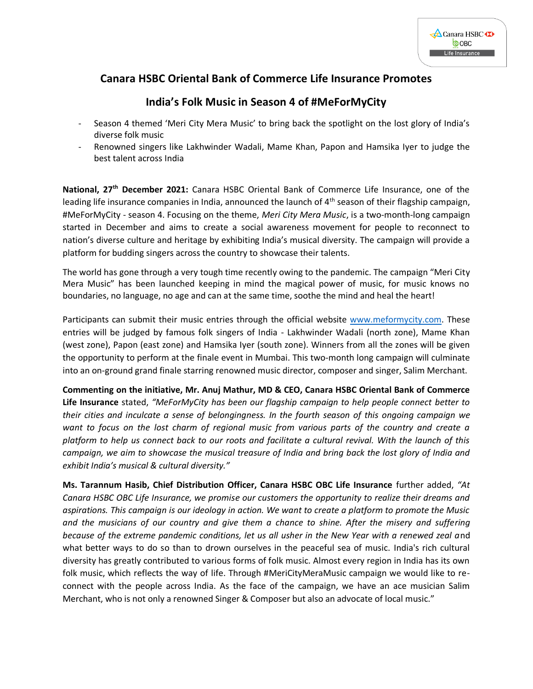

## **Canara HSBC Oriental Bank of Commerce Life Insurance Promotes**

## **India's Folk Music in Season 4 of #MeForMyCity**

- Season 4 themed 'Meri City Mera Music' to bring back the spotlight on the lost glory of India's diverse folk music
- Renowned singers like Lakhwinder Wadali, Mame Khan, Papon and Hamsika Iyer to judge the best talent across India

**National, 27th December 2021:** Canara HSBC Oriental Bank of Commerce Life Insurance, one of the leading life insurance companies in India, announced the launch of 4<sup>th</sup> season of their flagship campaign, #MeForMyCity - season 4. Focusing on the theme, *Meri City Mera Music*, is a two-month-long campaign started in December and aims to create a social awareness movement for people to reconnect to nation's diverse culture and heritage by exhibiting India's musical diversity. The campaign will provide a platform for budding singers across the country to showcase their talents.

The world has gone through a very tough time recently owing to the pandemic. The campaign "Meri City Mera Music" has been launched keeping in mind the magical power of music, for music knows no boundaries, no language, no age and can at the same time, soothe the mind and heal the heart!

Participants can submit their music entries through the official website [www.meformycity.com.](https://mericitymeramusic.com/) These entries will be judged by famous folk singers of India - Lakhwinder Wadali (north zone), Mame Khan (west zone), Papon (east zone) and Hamsika Iyer (south zone). Winners from all the zones will be given the opportunity to perform at the finale event in Mumbai. This two-month long campaign will culminate into an on-ground grand finale starring renowned music director, composer and singer, Salim Merchant.

**Commenting on the initiative, Mr. Anuj Mathur, MD & CEO, Canara HSBC Oriental Bank of Commerce Life Insurance** stated, *"MeForMyCity has been our flagship campaign to help people connect better to their cities and inculcate a sense of belongingness. In the fourth season of this ongoing campaign we want to focus on the lost charm of regional music from various parts of the country and create a platform to help us connect back to our roots and facilitate a cultural revival. With the launch of this campaign, we aim to showcase the musical treasure of India and bring back the lost glory of India and exhibit India's musical & cultural diversity."*

**Ms. Tarannum Hasib, Chief Distribution Officer, Canara HSBC OBC Life Insurance** further added, *"At Canara HSBC OBC Life Insurance, we promise our customers the opportunity to realize their dreams and aspirations. This campaign is our ideology in action. We want to create a platform to promote the Music and the musicians of our country and give them a chance to shine. After the misery and suffering because of the extreme pandemic conditions, let us all usher in the New Year with a renewed zeal a*nd what better ways to do so than to drown ourselves in the peaceful sea of music. India's rich cultural diversity has greatly contributed to various forms of folk music. Almost every region in India has its own folk music, which reflects the way of life. Through #MeriCityMeraMusic campaign we would like to reconnect with the people across India. As the face of the campaign, we have an ace musician Salim Merchant, who is not only a renowned Singer & Composer but also an advocate of local music."